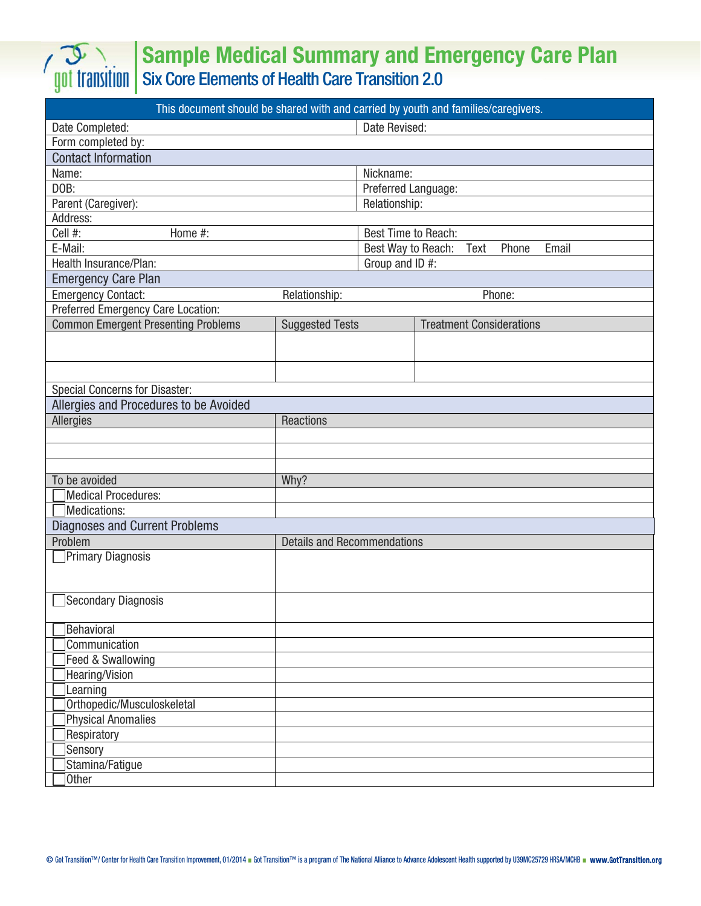## Sample Medical Summary and Emergency Care Plan

Six Core Elements of Health Care Transition 2.0

| This document should be shared with and carried by youth and families/caregivers. |                        |                                              |                                 |  |  |  |  |  |
|-----------------------------------------------------------------------------------|------------------------|----------------------------------------------|---------------------------------|--|--|--|--|--|
| Date Completed:                                                                   |                        | Date Revised:                                |                                 |  |  |  |  |  |
| Form completed by:                                                                |                        |                                              |                                 |  |  |  |  |  |
| <b>Contact Information</b>                                                        |                        |                                              |                                 |  |  |  |  |  |
| Name:                                                                             |                        | Nickname:                                    |                                 |  |  |  |  |  |
| DOB:                                                                              |                        | Preferred Language:                          |                                 |  |  |  |  |  |
| Parent (Caregiver):                                                               |                        | Relationship:                                |                                 |  |  |  |  |  |
| Address:                                                                          |                        |                                              |                                 |  |  |  |  |  |
| Cell #:<br>Home #:                                                                |                        | Best Time to Reach:                          |                                 |  |  |  |  |  |
| E-Mail:                                                                           |                        | Best Way to Reach:<br>Email<br>Text<br>Phone |                                 |  |  |  |  |  |
| Health Insurance/Plan:                                                            |                        | Group and ID #:                              |                                 |  |  |  |  |  |
| <b>Emergency Care Plan</b>                                                        |                        |                                              |                                 |  |  |  |  |  |
| <b>Emergency Contact:</b>                                                         | Relationship:          |                                              | Phone:                          |  |  |  |  |  |
| Preferred Emergency Care Location:                                                |                        |                                              |                                 |  |  |  |  |  |
| <b>Common Emergent Presenting Problems</b>                                        | <b>Suggested Tests</b> |                                              | <b>Treatment Considerations</b> |  |  |  |  |  |
|                                                                                   |                        |                                              |                                 |  |  |  |  |  |
|                                                                                   |                        |                                              |                                 |  |  |  |  |  |
|                                                                                   |                        |                                              |                                 |  |  |  |  |  |
| <b>Special Concerns for Disaster:</b>                                             |                        |                                              |                                 |  |  |  |  |  |
| Allergies and Procedures to be Avoided                                            |                        |                                              |                                 |  |  |  |  |  |
| <b>Allergies</b>                                                                  | Reactions              |                                              |                                 |  |  |  |  |  |
|                                                                                   |                        |                                              |                                 |  |  |  |  |  |
|                                                                                   |                        |                                              |                                 |  |  |  |  |  |
|                                                                                   |                        |                                              |                                 |  |  |  |  |  |
| To be avoided                                                                     | Why?                   |                                              |                                 |  |  |  |  |  |
| Medical Procedures:                                                               |                        |                                              |                                 |  |  |  |  |  |
| Medications:                                                                      |                        |                                              |                                 |  |  |  |  |  |
| <b>Diagnoses and Current Problems</b>                                             |                        |                                              |                                 |  |  |  |  |  |
| Problem<br><b>Details and Recommendations</b>                                     |                        |                                              |                                 |  |  |  |  |  |
| Primary Diagnosis                                                                 |                        |                                              |                                 |  |  |  |  |  |
|                                                                                   |                        |                                              |                                 |  |  |  |  |  |
|                                                                                   |                        |                                              |                                 |  |  |  |  |  |
| Secondary Diagnosis                                                               |                        |                                              |                                 |  |  |  |  |  |
|                                                                                   |                        |                                              |                                 |  |  |  |  |  |
| Behavioral                                                                        |                        |                                              |                                 |  |  |  |  |  |
| Communication                                                                     |                        |                                              |                                 |  |  |  |  |  |
| Feed & Swallowing                                                                 |                        |                                              |                                 |  |  |  |  |  |
| Hearing/Vision                                                                    |                        |                                              |                                 |  |  |  |  |  |
| Learning                                                                          |                        |                                              |                                 |  |  |  |  |  |
| Orthopedic/Musculoskeletal                                                        |                        |                                              |                                 |  |  |  |  |  |
| Physical Anomalies                                                                |                        |                                              |                                 |  |  |  |  |  |
| Respiratory                                                                       |                        |                                              |                                 |  |  |  |  |  |
| Sensory                                                                           |                        |                                              |                                 |  |  |  |  |  |
| Stamina/Fatigue<br>Other                                                          |                        |                                              |                                 |  |  |  |  |  |
|                                                                                   |                        |                                              |                                 |  |  |  |  |  |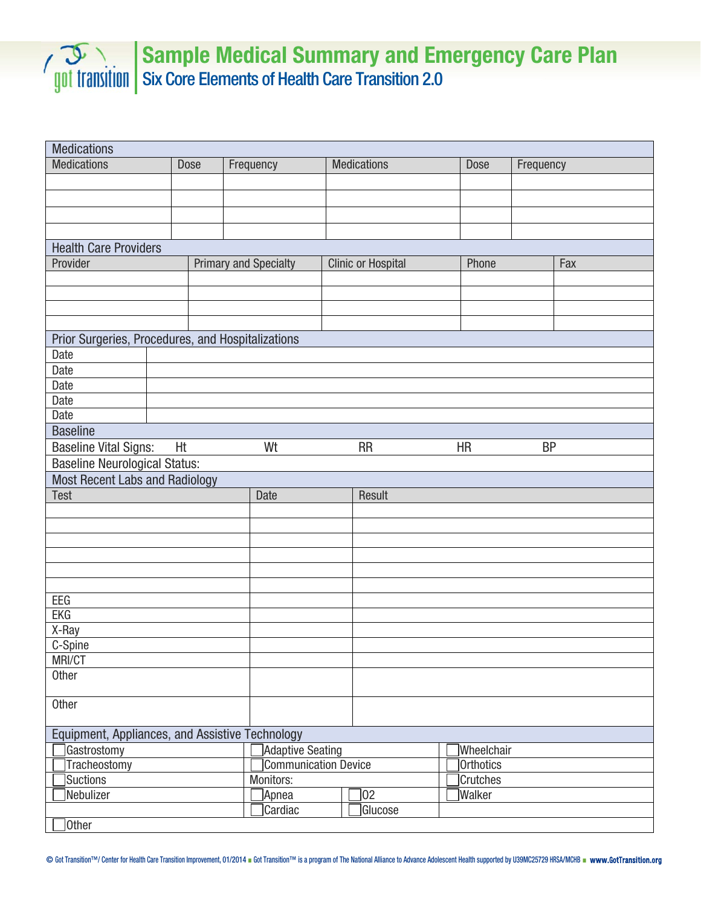

## Sample Medical Summary and Emergency Care Plan Six Core Elements of Health Care Transition 2.0

| <b>Medications</b>                                |             |                              |                           |                 |           |  |  |  |
|---------------------------------------------------|-------------|------------------------------|---------------------------|-----------------|-----------|--|--|--|
| <b>Medications</b>                                | <b>Dose</b> | Frequency                    | <b>Medications</b>        | <b>Dose</b>     | Frequency |  |  |  |
|                                                   |             |                              |                           |                 |           |  |  |  |
|                                                   |             |                              |                           |                 |           |  |  |  |
|                                                   |             |                              |                           |                 |           |  |  |  |
|                                                   |             |                              |                           |                 |           |  |  |  |
| <b>Health Care Providers</b>                      |             |                              |                           |                 |           |  |  |  |
| Provider                                          |             | <b>Primary and Specialty</b> | <b>Clinic or Hospital</b> | Phone           | Fax       |  |  |  |
|                                                   |             |                              |                           |                 |           |  |  |  |
|                                                   |             |                              |                           |                 |           |  |  |  |
|                                                   |             |                              |                           |                 |           |  |  |  |
|                                                   |             |                              |                           |                 |           |  |  |  |
| Prior Surgeries, Procedures, and Hospitalizations |             |                              |                           |                 |           |  |  |  |
| Date                                              |             |                              |                           |                 |           |  |  |  |
| Date                                              |             |                              |                           |                 |           |  |  |  |
| Date                                              |             |                              |                           |                 |           |  |  |  |
| Date                                              |             |                              |                           |                 |           |  |  |  |
| Date                                              |             |                              |                           |                 |           |  |  |  |
| <b>Baseline</b>                                   |             |                              |                           |                 |           |  |  |  |
| <b>Baseline Vital Signs:</b>                      | Ht          | Wt                           | <b>RR</b>                 | <b>HR</b>       | <b>BP</b> |  |  |  |
| <b>Baseline Neurological Status:</b>              |             |                              |                           |                 |           |  |  |  |
| Most Recent Labs and Radiology                    |             |                              |                           |                 |           |  |  |  |
| Test                                              |             | <b>Date</b>                  | Result                    |                 |           |  |  |  |
|                                                   |             |                              |                           |                 |           |  |  |  |
|                                                   |             |                              |                           |                 |           |  |  |  |
|                                                   |             |                              |                           |                 |           |  |  |  |
|                                                   |             |                              |                           |                 |           |  |  |  |
|                                                   |             |                              |                           |                 |           |  |  |  |
|                                                   |             |                              |                           |                 |           |  |  |  |
| EEG                                               |             |                              |                           |                 |           |  |  |  |
| <b>EKG</b>                                        |             |                              |                           |                 |           |  |  |  |
| X-Ray                                             |             |                              |                           |                 |           |  |  |  |
| C-Spine                                           |             |                              |                           |                 |           |  |  |  |
| MRI/CT<br>Other                                   |             |                              |                           |                 |           |  |  |  |
|                                                   |             |                              |                           |                 |           |  |  |  |
| Other                                             |             |                              |                           |                 |           |  |  |  |
|                                                   |             |                              |                           |                 |           |  |  |  |
| Equipment, Appliances, and Assistive Technology   |             |                              |                           |                 |           |  |  |  |
| Adaptive Seating<br>Gastrostomy                   |             |                              |                           | Wheelchair      |           |  |  |  |
| Communication Device<br>Tracheostomy              |             |                              | Orthotics                 |                 |           |  |  |  |
| Suctions                                          | Monitors:   |                              |                           | <b>Crutches</b> |           |  |  |  |
| Nebulizer                                         |             |                              | $ 02\rangle$              | Walker          |           |  |  |  |
|                                                   |             |                              |                           |                 |           |  |  |  |
|                                                   |             | ]Apnea<br>Cardiac            | Glucose                   |                 |           |  |  |  |